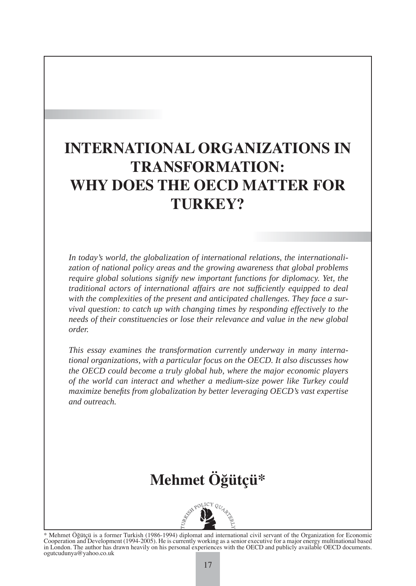### **INTERNATIONAL ORGANIZATIONS IN TRANSFORMATION: WHY DOES THE OECD MATTER FOR TURKEY?**

*In today's world, the globalization of international relations, the internationalization of national policy areas and the growing awareness that global problems require global solutions signify new important functions for diplomacy. Yet, the traditional actors of international affairs are not suffi ciently equipped to deal with the complexities of the present and anticipated challenges. They face a survival question: to catch up with changing times by responding effectively to the needs of their constituencies or lose their relevance and value in the new global order.*

*This essay examines the transformation currently underway in many international organizations, with a particular focus on the OECD. It also discusses how the OECD could become a truly global hub, where the major economic players of the world can interact and whether a medium-size power like Turkey could maximize benefi ts from globalization by better leveraging OECD's vast expertise and outreach.* 

## **Mehmet Öğütçü\***



\* Mehmet Öğütçü is a former Turkish (1986-1994) diplomat and international civil servant of the Organization for Economic Cooperation and Development (1994-2005). He is currently working as a senior executive for a major energy multinational based<br>in London. The author has drawn heavily on his personal experiences with the OECD and publicly a ogutcudunya@yahoo.co.uk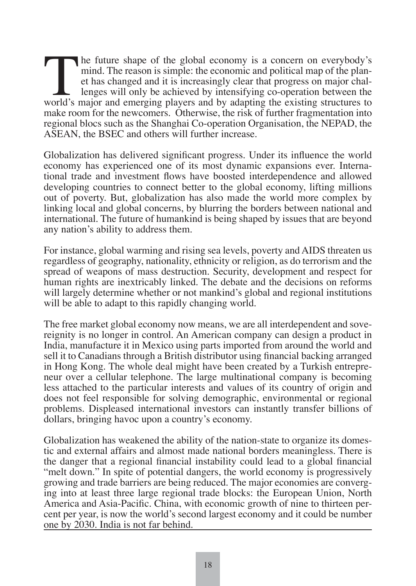The future shape of the global economy is a concern on everybody's mind. The reason is simple: the economic and political map of the planet has changed and it is increasingly clear that progress on major challenges will on mind. The reason is simple: the economic and political map of the planet has changed and it is increasingly clear that progress on major challenges will only be achieved by intensifying co-operation between the world's major and emerging players and by adapting the existing structures to make room for the newcomers. Otherwise, the risk of further fragmentation into regional blocs such as the Shanghai Co-operation Organisation, the NEPAD, the ASEAN, the BSEC and others will further increase.

Globalization has delivered significant progress. Under its influence the world economy has experienced one of its most dynamic expansions ever. International trade and investment flows have boosted interdependence and allowed developing countries to connect better to the global economy, lifting millions out of poverty. But, globalization has also made the world more complex by linking local and global concerns, by blurring the borders between national and international. The future of humankind is being shaped by issues that are beyond any nation's ability to address them.

For instance, global warming and rising sea levels, poverty and AIDS threaten us regardless of geography, nationality, ethnicity or religion, as do terrorism and the spread of weapons of mass destruction. Security, development and respect for human rights are inextricably linked. The debate and the decisions on reforms will largely determine whether or not mankind's global and regional institutions will be able to adapt to this rapidly changing world.

The free market global economy now means, we are all interdependent and sovereignity is no longer in control. An American company can design a product in India, manufacture it in Mexico using parts imported from around the world and sell it to Canadians through a British distributor using financial backing arranged in Hong Kong. The whole deal might have been created by a Turkish entrepreneur over a cellular telephone. The large multinational company is becoming less attached to the particular interests and values of its country of origin and does not feel responsible for solving demographic, environmental or regional problems. Displeased international investors can instantly transfer billions of dollars, bringing havoc upon a country's economy.

Globalization has weakened the ability of the nation-state to organize its domestic and external affairs and almost made national borders meaningless. There is the danger that a regional financial instability could lead to a global financial "melt down." In spite of potential dangers, the world economy is progressively growing and trade barriers are being reduced. The major economies are converging into at least three large regional trade blocks: the European Union, North America and Asia-Pacific. China, with economic growth of nine to thirteen percent per year, is now the world's second largest economy and it could be number one by 2030. India is not far behind.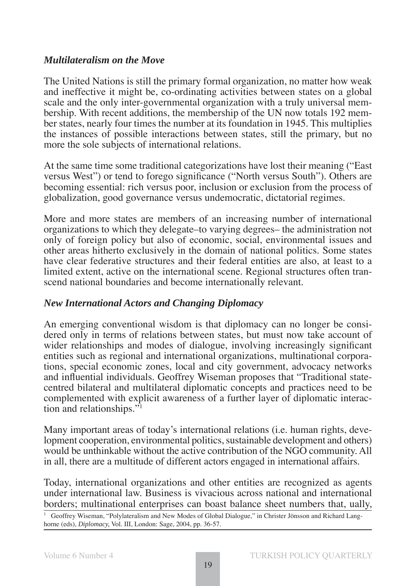#### *Multilateralism on the Move*

The United Nations is still the primary formal organization, no matter how weak and ineffective it might be, co-ordinating activities between states on a global scale and the only inter-governmental organization with a truly universal membership. With recent additions, the membership of the UN now totals 192 member states, nearly four times the number at its foundation in 1945. This multiplies the instances of possible interactions between states, still the primary, but no more the sole subjects of international relations.

At the same time some traditional categorizations have lost their meaning ("East versus West") or tend to forego significance ("North versus South"). Others are becoming essential: rich versus poor, inclusion or exclusion from the process of globalization, good governance versus undemocratic, dictatorial regimes.

More and more states are members of an increasing number of international organizations to which they delegate–to varying degrees– the administration not only of foreign policy but also of economic, social, environmental issues and other areas hitherto exclusively in the domain of national politics. Some states have clear federative structures and their federal entities are also, at least to a limited extent, active on the international scene. Regional structures often transcend national boundaries and become internationally relevant.

#### *New International Actors and Changing Diplomacy*

An emerging conventional wisdom is that diplomacy can no longer be considered only in terms of relations between states, but must now take account of wider relationships and modes of dialogue, involving increasingly significant entities such as regional and international organizations, multinational corporations, special economic zones, local and city government, advocacy networks and influential individuals. Geoffrey Wiseman proposes that "Traditional statecentred bilateral and multilateral diplomatic concepts and practices need to be complemented with explicit awareness of a further layer of diplomatic interaction and relationships."1

Many important areas of today's international relations (i.e. human rights, development cooperation, environmental politics, sustainable development and others) would be unthinkable without the active contribution of the NGO community. All in all, there are a multitude of different actors engaged in international affairs.

Today, international organizations and other entities are recognized as agents under international law. Business is vivacious across national and international borders; multinational enterprises can boast balance sheet numbers that, ually,

<sup>1</sup> Geoffrey Wiseman, "Polylateralism and New Modes of Global Dialogue," in Christer Jönsson and Richard Langhorne (eds), *Diplomacy,* Vol. III, London: Sage, 2004, pp. 36-57.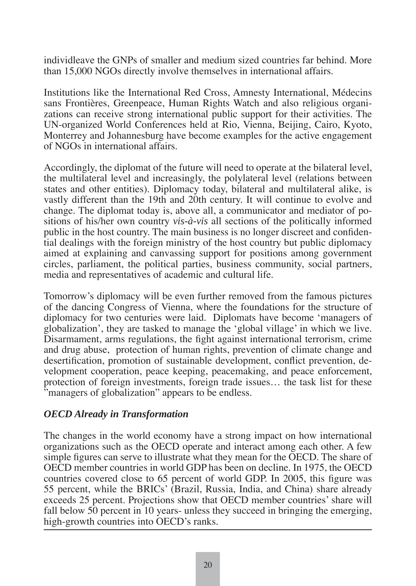individleave the GNPs of smaller and medium sized countries far behind. More than 15,000 NGOs directly involve themselves in international affairs.

Institutions like the International Red Cross, Amnesty International, Médecins sans Frontières, Greenpeace, Human Rights Watch and also religious organizations can receive strong international public support for their activities. The UN-organized World Conferences held at Rio, Vienna, Beijing, Cairo, Kyoto, Monterrey and Johannesburg have become examples for the active engagement of NGOs in international affairs.

Accordingly, the diplomat of the future will need to operate at the bilateral level, the multilateral level and increasingly, the polylateral level (relations between states and other entities). Diplomacy today, bilateral and multilateral alike, is vastly different than the 19th and 20th century. It will continue to evolve and change. The diplomat today is, above all, a communicator and mediator of positions of his/her own country *vis-à-vis* all sections of the politically informed public in the host country. The main business is no longer discreet and confidential dealings with the foreign ministry of the host country but public diplomacy aimed at explaining and canvassing support for positions among government circles, parliament, the political parties, business community, social partners, media and representatives of academic and cultural life.

Tomorrow's diplomacy will be even further removed from the famous pictures of the dancing Congress of Vienna, where the foundations for the structure of diplomacy for two centuries were laid. Diplomats have become 'managers of globalization', they are tasked to manage the 'global village' in which we live. Disarmament, arms regulations, the fight against international terrorism, crime and drug abuse, protection of human rights, prevention of climate change and desertification, promotion of sustainable development, conflict prevention, development cooperation, peace keeping, peacemaking, and peace enforcement, protection of foreign investments, foreign trade issues… the task list for these "managers of globalization" appears to be endless.

#### *OECD Already in Transformation*

The changes in the world economy have a strong impact on how international organizations such as the OECD operate and interact among each other. A few simple figures can serve to illustrate what they mean for the OECD. The share of OECD member countries in world GDP has been on decline. In 1975, the OECD countries covered close to 65 percent of world GDP. In 2005, this figure was 55 percent, while the BRICs' (Brazil, Russia, India, and China) share already exceeds 25 percent. Projections show that OECD member countries' share will fall below 50 percent in 10 years- unless they succeed in bringing the emerging, high-growth countries into OECD's ranks.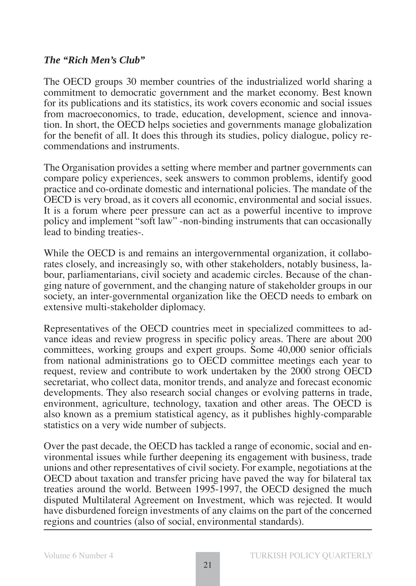#### *The "Rich Men's Club"*

The OECD groups 30 member countries of the industrialized world sharing a commitment to democratic government and the market economy. Best known for its publications and its statistics, its work covers economic and social issues from macroeconomics, to trade, education, development, science and innovation. In short, the OECD helps societies and governments manage globalization for the benefit of all. It does this through its studies, policy dialogue, policy recommendations and instruments.

The Organisation provides a setting where member and partner governments can compare policy experiences, seek answers to common problems, identify good practice and co-ordinate domestic and international policies. The mandate of the OECD is very broad, as it covers all economic, environmental and social issues. It is a forum where peer pressure can act as a powerful incentive to improve policy and implement "soft law" -non-binding instruments that can occasionally lead to binding treaties-.

While the OECD is and remains an intergovernmental organization, it collaborates closely, and increasingly so, with other stakeholders, notably business, labour, parliamentarians, civil society and academic circles. Because of the changing nature of government, and the changing nature of stakeholder groups in our society, an inter-governmental organization like the OECD needs to embark on extensive multi-stakeholder diplomacy.

Representatives of the OECD countries meet in specialized committees to advance ideas and review progress in specific policy areas. There are about 200 committees, working groups and expert groups. Some 40,000 senior officials from national administrations go to OECD committee meetings each year to request, review and contribute to work undertaken by the 2000 strong OECD secretariat, who collect data, monitor trends, and analyze and forecast economic developments. They also research social changes or evolving patterns in trade, environment, agriculture, technology, taxation and other areas. The OECD is also known as a premium statistical agency, as it publishes highly-comparable statistics on a very wide number of subjects.

Over the past decade, the OECD has tackled a range of economic, social and environmental issues while further deepening its engagement with business, trade unions and other representatives of civil society. For example, negotiations at the OECD about taxation and transfer pricing have paved the way for bilateral tax treaties around the world. Between 1995-1997, the OECD designed the much disputed Multilateral Agreement on Investment, which was rejected. It would have disburdened foreign investments of any claims on the part of the concerned regions and countries (also of social, environmental standards).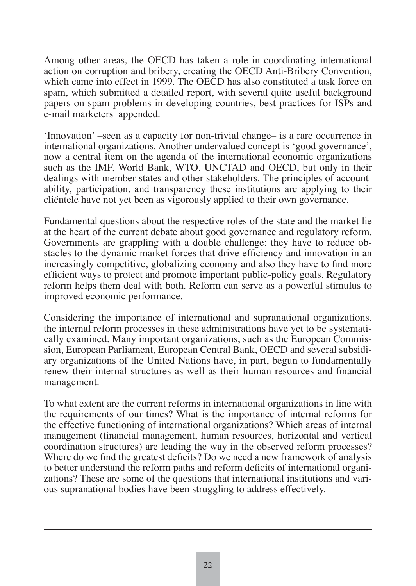Among other areas, the OECD has taken a role in coordinating international action on corruption and bribery, creating the OECD Anti-Bribery Convention, which came into effect in 1999. The OECD has also constituted a task force on spam, which submitted a detailed report, with several quite useful background papers on spam problems in developing countries, best practices for ISPs and e-mail marketers appended.

'Innovation' –seen as a capacity for non-trivial change– is a rare occurrence in international organizations. Another undervalued concept is 'good governance', now a central item on the agenda of the international economic organizations such as the IMF, World Bank, WTO, UNCTAD and OECD, but only in their dealings with member states and other stakeholders. The principles of accountability, participation, and transparency these institutions are applying to their cliéntele have not yet been as vigorously applied to their own governance.

Fundamental questions about the respective roles of the state and the market lie at the heart of the current debate about good governance and regulatory reform. Governments are grappling with a double challenge: they have to reduce obstacles to the dynamic market forces that drive efficiency and innovation in an increasingly competitive, globalizing economy and also they have to find more efficient ways to protect and promote important public-policy goals. Regulatory reform helps them deal with both. Reform can serve as a powerful stimulus to improved economic performance.

Considering the importance of international and supranational organizations, the internal reform processes in these administrations have yet to be systematically examined. Many important organizations, such as the European Commission, European Parliament, European Central Bank, OECD and several subsidiary organizations of the United Nations have, in part, begun to fundamentally renew their internal structures as well as their human resources and financial management.

To what extent are the current reforms in international organizations in line with the requirements of our times? What is the importance of internal reforms for the effective functioning of international organizations? Which areas of internal management (financial management, human resources, horizontal and vertical coordination structures) are leading the way in the observed reform processes? Where do we find the greatest deficits? Do we need a new framework of analysis to better understand the reform paths and reform deficits of international organizations? These are some of the questions that international institutions and various supranational bodies have been struggling to address effectively.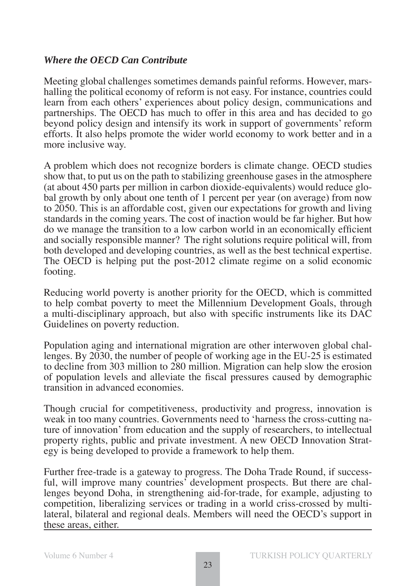#### *Where the OECD Can Contribute*

Meeting global challenges sometimes demands painful reforms. However, marshalling the political economy of reform is not easy. For instance, countries could learn from each others' experiences about policy design, communications and partnerships. The OECD has much to offer in this area and has decided to go beyond policy design and intensify its work in support of governments' reform efforts. It also helps promote the wider world economy to work better and in a more inclusive way.

A problem which does not recognize borders is climate change. OECD studies show that, to put us on the path to stabilizing greenhouse gases in the atmosphere (at about 450 parts per million in carbon dioxide-equivalents) would reduce global growth by only about one tenth of 1 percent per year (on average) from now to 2050. This is an affordable cost, given our expectations for growth and living standards in the coming years. The cost of inaction would be far higher. But how do we manage the transition to a low carbon world in an economically efficient and socially responsible manner? The right solutions require political will, from both developed and developing countries, as well as the best technical expertise. The OECD is helping put the post-2012 climate regime on a solid economic footing.

Reducing world poverty is another priority for the OECD, which is committed to help combat poverty to meet the Millennium Development Goals, through a multi-disciplinary approach, but also with specific instruments like its DAC Guidelines on poverty reduction.

Population aging and international migration are other interwoven global challenges. By 2030, the number of people of working age in the EU-25 is estimated to decline from 303 million to 280 million. Migration can help slow the erosion of population levels and alleviate the fiscal pressures caused by demographic transition in advanced economies.

Though crucial for competitiveness, productivity and progress, innovation is weak in too many countries. Governments need to 'harness the cross-cutting nature of innovation' from education and the supply of researchers, to intellectual property rights, public and private investment. A new OECD Innovation Strategy is being developed to provide a framework to help them.

Further free-trade is a gateway to progress. The Doha Trade Round, if successful, will improve many countries' development prospects. But there are challenges beyond Doha, in strengthening aid-for-trade, for example, adjusting to competition, liberalizing services or trading in a world criss-crossed by multilateral, bilateral and regional deals. Members will need the OECD's support in these areas, either.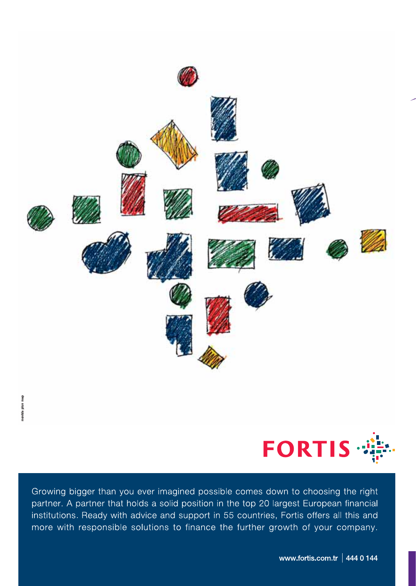



Growing bigger than you ever imagined possible comes down to choosing the right partner. A partner that holds a solid position in the top 20 largest European financial institutions. Ready with advice and support in 55 countries, Fortis offers all this and more with responsible solutions to finance the further growth of your company.

www.fortis.com.tr | 444 0 144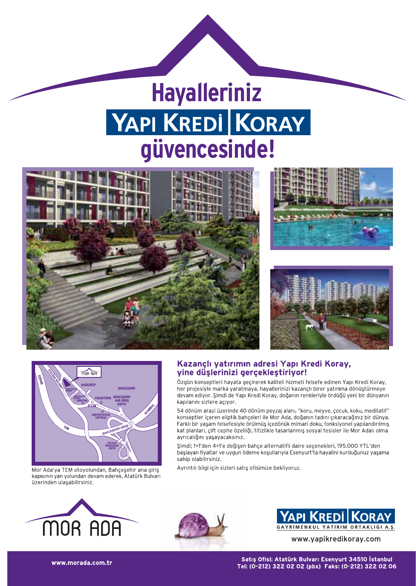# **Hayalleriniz YAPI KREDI KORAY** güvencesinde!









Mor Ada'ya TEM otoyolundan, Bahçeşehir ana giriş kapısının yan yolundan devam ederek, Atatürk Bulvarı üzerinden ulaşabilirsiniz.

#### Kazançlı yatırımın adresi Yapı Kredi Koray, vine düşlerinizi gerçekleştiriyor!

Özgün konseptleri hayata geçirerek kaliteli hizmeti felsefe edinen Yapı Kredi Koray, her projesiyle marka yaratmaya, hayallerinizi kazançlı birer yatırıma dönüştürmeye devam ediyor. Şimdi de Yapı Kredi Koray, doğanın renkleriyle ördüğü yeni bir dünyanın kapılarını sizlere açıyor.

54 dönüm arazi üzerinde 40 dönüm peyzaj alanı, "koru, meyve, çocuk, koku, meditatif" konseptler içeren eliptik bahçeleri ile Mor Ada, doğanın tadını çıkaracağınız bir dünya. Farklı bir yaşam felsefesiyle örülmüş içedönük mimari doku, fonksiyonel yapılandırılmış kat planları, çift cephe özelliği, titizlikle tasarlanmış sosyal tesisler ile Mor Adalı olma ayrıcalığını yaşayacaksınız.

Simdi: 1+1'den 4+1'e değisen bahce alternatifli daire secenekleri, 195,000 YTL'den başlayan fiyatlar ve uygun ödeme koşullarıyla Esenyurt'ta hayalini kurduğunuz yaşama sahip olabilirsiniz.

Ayrıntılı bilgi için sizleri satış ofisimize bekliyoruz.







www.yapikredikoray.com

Satıs Ofisi: Atatürk Bulvarı Esenyurt 34510 İstanbul Tel: (0-212) 322 02 02 (pbx) Faks: (0-212) 322 02 06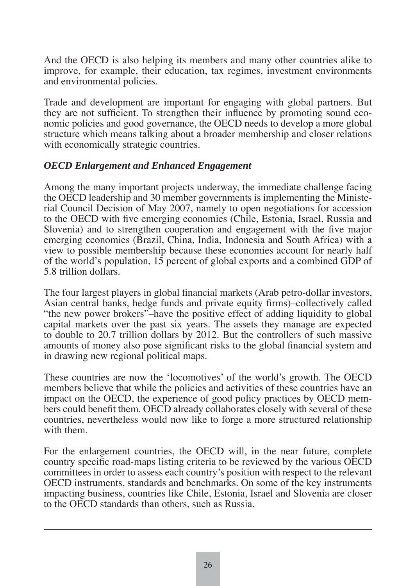And the OECD is also helping its members and many other countries alike to improve, for example, their education, tax regimes, investment environments and environmental policies.

Trade and development are important for engaging with global partners. But they are not sufficient. To strengthen their influence by promoting sound economic policies and good governance, the OECD needs to develop a more global structure which means talking about a broader membership and closer relations with economically strategic countries.

#### *OECD Enlargement and Enhanced Engagement*

Among the many important projects underway, the immediate challenge facing the OECD leadership and 30 member governments is implementing the Ministerial Council Decision of May 2007, namely to open negotiations for accession to the OECD with five emerging economies (Chile, Estonia, Israel, Russia and Slovenia) and to strengthen cooperation and engagement with the five major emerging economies (Brazil, China, India, Indonesia and South Africa) with a view to possible membership because these economies account for nearly half of the world's population, 15 percent of global exports and a combined GDP of 5.8 trillion dollars.

The four largest players in global financial markets (Arab petro-dollar investors, Asian central banks, hedge funds and private equity firms)–collectively called "the new power brokers"–have the positive effect of adding liquidity to global capital markets over the past six years. The assets they manage are expected to double to 20.7 trillion dollars by 2012. But the controllers of such massive amounts of money also pose significant risks to the global financial system and in drawing new regional political maps.

These countries are now the 'locomotives' of the world's growth. The OECD members believe that while the policies and activities of these countries have an impact on the OECD, the experience of good policy practices by OECD members could benefit them. OECD already collaborates closely with several of these countries, nevertheless would now like to forge a more structured relationship with them.

For the enlargement countries, the OECD will, in the near future, complete country specific road-maps listing criteria to be reviewed by the various OECD committees in order to assess each country's position with respect to the relevant OECD instruments, standards and benchmarks. On some of the key instruments impacting business, countries like Chile, Estonia, Israel and Slovenia are closer to the OECD standards than others, such as Russia.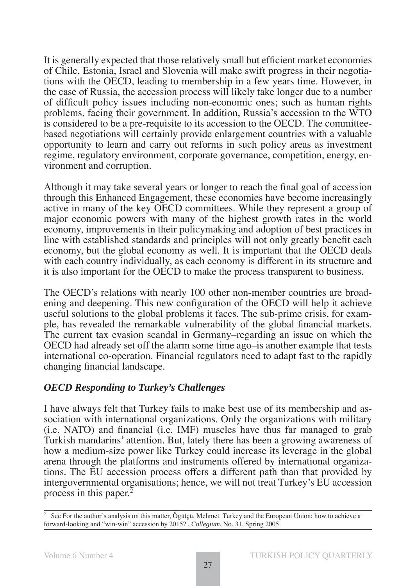It is generally expected that those relatively small but efficient market economies of Chile, Estonia, Israel and Slovenia will make swift progress in their negotiations with the OECD, leading to membership in a few years time. However, in the case of Russia, the accession process will likely take longer due to a number of difficult policy issues including non-economic ones; such as human rights problems, facing their government. In addition, Russia's accession to the WTO is considered to be a pre-requisite to its accession to the OECD. The committeebased negotiations will certainly provide enlargement countries with a valuable opportunity to learn and carry out reforms in such policy areas as investment regime, regulatory environment, corporate governance, competition, energy, environment and corruption.

Although it may take several years or longer to reach the final goal of accession through this Enhanced Engagement, these economies have become increasingly active in many of the key OECD committees. While they represent a group of major economic powers with many of the highest growth rates in the world economy, improvements in their policymaking and adoption of best practices in line with established standards and principles will not only greatly benefit each economy, but the global economy as well. It is important that the OECD deals with each country individually, as each economy is different in its structure and it is also important for the OECD to make the process transparent to business.

The OECD's relations with nearly 100 other non-member countries are broadening and deepening. This new configuration of the OECD will help it achieve useful solutions to the global problems it faces. The sub-prime crisis, for example, has revealed the remarkable vulnerability of the global financial markets. The current tax evasion scandal in Germany–regarding an issue on which the OECD had already set off the alarm some time ago–is another example that tests international co-operation. Financial regulators need to adapt fast to the rapidly changing financial landscape.

#### *OECD Responding to Turkey's Challenges*

I have always felt that Turkey fails to make best use of its membership and association with international organizations. Only the organizations with military  $(i.e. NATO)$  and financial  $(i.e. IMF)$  muscles have thus far managed to grab Turkish mandarins' attention. But, lately there has been a growing awareness of how a medium-size power like Turkey could increase its leverage in the global arena through the platforms and instruments offered by international organizations. The EU accession process offers a different path than that provided by intergovernmental organisations; hence, we will not treat Turkey's EU accession process in this paper.<sup>2</sup>

<sup>2</sup> See For the author's analysis on this matter, Ögütçü, Mehmet Turkey and the European Union: how to achieve a forward-looking and "win-win" accession by 2015? , *Collegium*, No. 31, Spring 2005.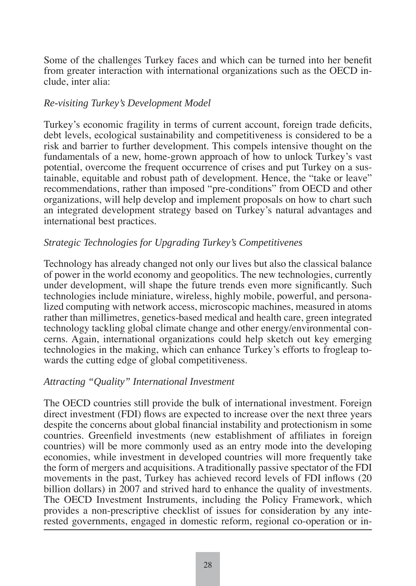Some of the challenges Turkey faces and which can be turned into her benefit from greater interaction with international organizations such as the OECD include, inter alia:

#### *Re-visiting Turkey's Development Model*

Turkey's economic fragility in terms of current account, foreign trade deficits, debt levels, ecological sustainability and competitiveness is considered to be a risk and barrier to further development. This compels intensive thought on the fundamentals of a new, home-grown approach of how to unlock Turkey's vast potential, overcome the frequent occurrence of crises and put Turkey on a sustainable, equitable and robust path of development. Hence, the "take or leave" recommendations, rather than imposed "pre-conditions" from OECD and other organizations, will help develop and implement proposals on how to chart such an integrated development strategy based on Turkey's natural advantages and international best practices.

#### *Strategic Technologies for Upgrading Turkey's Competitivenes*

Technology has already changed not only our lives but also the classical balance of power in the world economy and geopolitics. The new technologies, currently under development, will shape the future trends even more significantly. Such technologies include miniature, wireless, highly mobile, powerful, and personalized computing with network access, microscopic machines, measured in atoms rather than millimetres, genetics-based medical and health care, green integrated technology tackling global climate change and other energy/environmental concerns. Again, international organizations could help sketch out key emerging technologies in the making, which can enhance Turkey's efforts to frogleap towards the cutting edge of global competitiveness.

#### *Attracting "Quality" International Investment*

The OECD countries still provide the bulk of international investment. Foreign direct investment (FDI) flows are expected to increase over the next three years despite the concerns about global financial instability and protectionism in some countries. Greenfield investments (new establishment of affiliates in foreign countries) will be more commonly used as an entry mode into the developing economies, while investment in developed countries will more frequently take the form of mergers and acquisitions. A traditionally passive spectator of the FDI movements in the past, Turkey has achieved record levels of FDI inflows (20) billion dollars) in 2007 and strived hard to enhance the quality of investments. The OECD Investment Instruments, including the Policy Framework, which provides a non-prescriptive checklist of issues for consideration by any interested governments, engaged in domestic reform, regional co-operation or in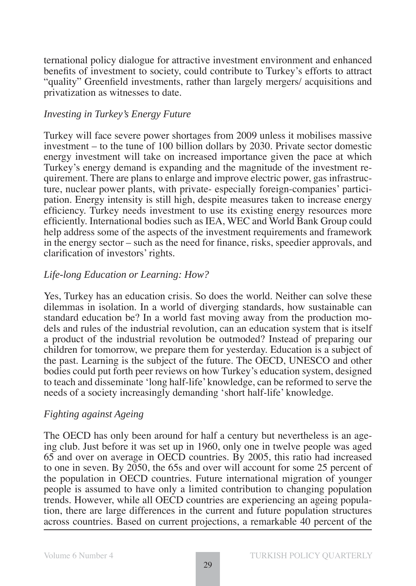ternational policy dialogue for attractive investment environment and enhanced benefits of investment to society, could contribute to Turkey's efforts to attract "quality" Greenfield investments, rather than largely mergers/ acquisitions and privatization as witnesses to date.

#### *Investing in Turkey's Energy Future*

Turkey will face severe power shortages from 2009 unless it mobilises massive investment – to the tune of 100 billion dollars by 2030. Private sector domestic energy investment will take on increased importance given the pace at which Turkey's energy demand is expanding and the magnitude of the investment requirement. There are plans to enlarge and improve electric power, gas infrastructure, nuclear power plants, with private- especially foreign-companies' participation. Energy intensity is still high, despite measures taken to increase energy efficiency. Turkey needs investment to use its existing energy resources more efficiently. International bodies such as IEA, WEC and World Bank Group could help address some of the aspects of the investment requirements and framework in the energy sector – such as the need for finance, risks, speedier approvals, and clarification of investors' rights.

#### *Life-long Education or Learning: How?*

Yes, Turkey has an education crisis. So does the world. Neither can solve these dilemmas in isolation. In a world of diverging standards, how sustainable can standard education be? In a world fast moving away from the production models and rules of the industrial revolution, can an education system that is itself a product of the industrial revolution be outmoded? Instead of preparing our children for tomorrow, we prepare them for yesterday. Education is a subject of the past. Learning is the subject of the future. The OECD, UNESCO and other bodies could put forth peer reviews on how Turkey's education system, designed to teach and disseminate 'long half-life' knowledge, can be reformed to serve the needs of a society increasingly demanding 'short half-life' knowledge.

#### *Fighting against Ageing*

The OECD has only been around for half a century but nevertheless is an ageing club. Just before it was set up in 1960, only one in twelve people was aged 65 and over on average in OECD countries. By 2005, this ratio had increased to one in seven. By 2050, the 65s and over will account for some 25 percent of the population in OECD countries. Future international migration of younger people is assumed to have only a limited contribution to changing population trends. However, while all OECD countries are experiencing an ageing population, there are large differences in the current and future population structures across countries. Based on current projections, a remarkable 40 percent of the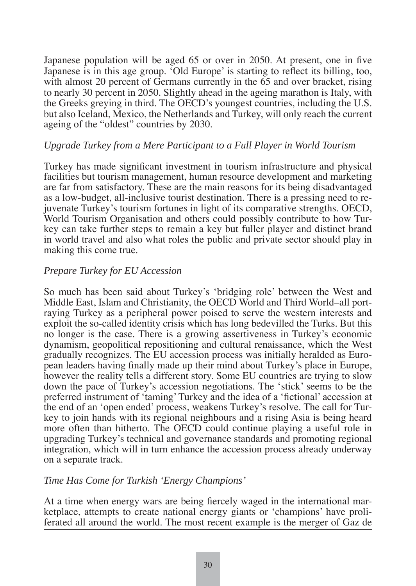Japanese population will be aged 65 or over in 2050. At present, one in five Japanese is in this age group. 'Old Europe' is starting to reflect its billing, too, with almost 20 percent of Germans currently in the 65 and over bracket, rising to nearly 30 percent in 2050. Slightly ahead in the ageing marathon is Italy, with the Greeks greying in third. The OECD's youngest countries, including the U.S. but also Iceland, Mexico, the Netherlands and Turkey, will only reach the current ageing of the "oldest" countries by 2030.

#### *Upgrade Turkey from a Mere Participant to a Full Player in World Tourism*

Turkey has made significant investment in tourism infrastructure and physical facilities but tourism management, human resource development and marketing are far from satisfactory. These are the main reasons for its being disadvantaged as a low-budget, all-inclusive tourist destination. There is a pressing need to rejuvenate Turkey's tourism fortunes in light of its comparative strengths. OECD, World Tourism Organisation and others could possibly contribute to how Turkey can take further steps to remain a key but fuller player and distinct brand in world travel and also what roles the public and private sector should play in making this come true.

#### *Prepare Turkey for EU Accession*

So much has been said about Turkey's 'bridging role' between the West and Middle East, Islam and Christianity, the OECD World and Third World–all portraying Turkey as a peripheral power poised to serve the western interests and exploit the so-called identity crisis which has long bedevilled the Turks. But this no longer is the case. There is a growing assertiveness in Turkey's economic dynamism, geopolitical repositioning and cultural renaissance, which the West gradually recognizes. The EU accession process was initially heralded as European leaders having finally made up their mind about Turkey's place in Europe, however the reality tells a different story. Some EU countries are trying to slow down the pace of Turkey's accession negotiations. The 'stick' seems to be the preferred instrument of 'taming' Turkey and the idea of a 'fictional' accession at the end of an 'open ended' process, weakens Turkey's resolve. The call for Turkey to join hands with its regional neighbours and a rising Asia is being heard more often than hitherto. The OECD could continue playing a useful role in upgrading Turkey's technical and governance standards and promoting regional integration, which will in turn enhance the accession process already underway on a separate track.

#### *Time Has Come for Turkish 'Energy Champions'*

At a time when energy wars are being fiercely waged in the international marketplace, attempts to create national energy giants or 'champions' have proliferated all around the world. The most recent example is the merger of Gaz de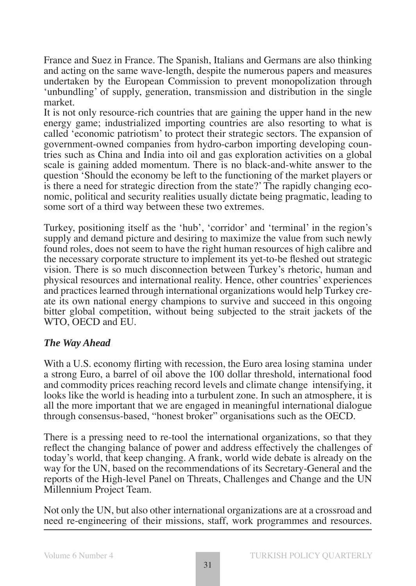France and Suez in France. The Spanish, Italians and Germans are also thinking and acting on the same wave-length, despite the numerous papers and measures undertaken by the European Commission to prevent monopolization through 'unbundling' of supply, generation, transmission and distribution in the single market.

It is not only resource-rich countries that are gaining the upper hand in the new energy game; industrialized importing countries are also resorting to what is called 'economic patriotism' to protect their strategic sectors. The expansion of government-owned companies from hydro-carbon importing developing countries such as China and India into oil and gas exploration activities on a global scale is gaining added momentum. There is no black-and-white answer to the question 'Should the economy be left to the functioning of the market players or is there a need for strategic direction from the state?' The rapidly changing economic, political and security realities usually dictate being pragmatic, leading to some sort of a third way between these two extremes.

Turkey, positioning itself as the 'hub', 'corridor' and 'terminal' in the region's supply and demand picture and desiring to maximize the value from such newly found roles, does not seem to have the right human resources of high calibre and the necessary corporate structure to implement its yet-to-be fleshed out strategic vision. There is so much disconnection between Turkey's rhetoric, human and physical resources and international reality. Hence, other countries' experiences and practices learned through international organizations would help Turkey create its own national energy champions to survive and succeed in this ongoing bitter global competition, without being subjected to the strait jackets of the WTO, OECD and EU.

#### *The Way Ahead*

With a U.S. economy flirting with recession, the Euro area losing stamina under a strong Euro, a barrel of oil above the 100 dollar threshold, international food and commodity prices reaching record levels and climate change intensifying, it looks like the world is heading into a turbulent zone. In such an atmosphere, it is all the more important that we are engaged in meaningful international dialogue through consensus-based, "honest broker" organisations such as the OECD.

There is a pressing need to re-tool the international organizations, so that they reflect the changing balance of power and address effectively the challenges of today's world, that keep changing. A frank, world wide debate is already on the way for the UN, based on the recommendations of its Secretary-General and the reports of the High-level Panel on Threats, Challenges and Change and the UN Millennium Project Team.

Not only the UN, but also other international organizations are at a crossroad and need re-engineering of their missions, staff, work programmes and resources.